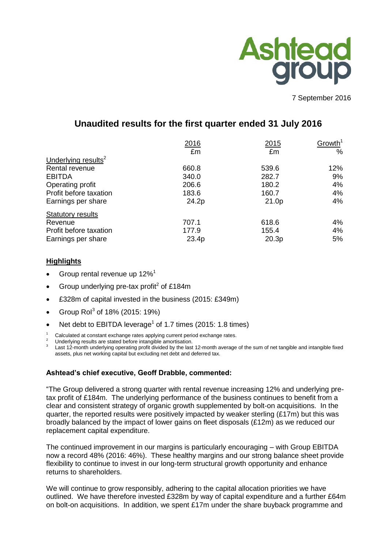

7 September 2016

# **Unaudited results for the first quarter ended 31 July 2016**

|                                 | 2016  | 2015  | Growth <sup>1</sup> |
|---------------------------------|-------|-------|---------------------|
|                                 | £m    | £m    | %                   |
| Underlying results <sup>2</sup> |       |       |                     |
| Rental revenue                  | 660.8 | 539.6 | 12%                 |
| <b>EBITDA</b>                   | 340.0 | 282.7 | 9%                  |
| Operating profit                | 206.6 | 180.2 | 4%                  |
| Profit before taxation          | 183.6 | 160.7 | 4%                  |
| Earnings per share              | 24.2p | 21.0p | 4%                  |
| <b>Statutory results</b>        |       |       |                     |
| Revenue                         | 707.1 | 618.6 | 4%                  |
| Profit before taxation          | 177.9 | 155.4 | 4%                  |
| Earnings per share              | 23.4p | 20.3p | 5%                  |

### **Highlights**

- Group rental revenue up 12%<sup>1</sup>
- Group underlying pre-tax profit<sup>2</sup> of £184m
- £328m of capital invested in the business (2015: £349m)
- Group Rol<sup>3</sup> of 18% (2015: 19%)
- Net debt to EBITDA leverage<sup>1</sup> of 1.7 times (2015: 1.8 times)
- Calculated at constant exchange rates applying current period exchange rates.

Underlying results are stated before intangible amortisation.

3 Last 12-month underlying operating profit divided by the last 12-month average of the sum of net tangible and intangible fixed assets, plus net working capital but excluding net debt and deferred tax.

### **Ashtead's chief executive, Geoff Drabble, commented:**

"The Group delivered a strong quarter with rental revenue increasing 12% and underlying pretax profit of £184m. The underlying performance of the business continues to benefit from a clear and consistent strategy of organic growth supplemented by bolt-on acquisitions. In the quarter, the reported results were positively impacted by weaker sterling (£17m) but this was broadly balanced by the impact of lower gains on fleet disposals (£12m) as we reduced our replacement capital expenditure.

The continued improvement in our margins is particularly encouraging – with Group EBITDA now a record 48% (2016: 46%). These healthy margins and our strong balance sheet provide flexibility to continue to invest in our long-term structural growth opportunity and enhance returns to shareholders.

We will continue to grow responsibly, adhering to the capital allocation priorities we have outlined. We have therefore invested £328m by way of capital expenditure and a further £64m on bolt-on acquisitions. In addition, we spent £17m under the share buyback programme and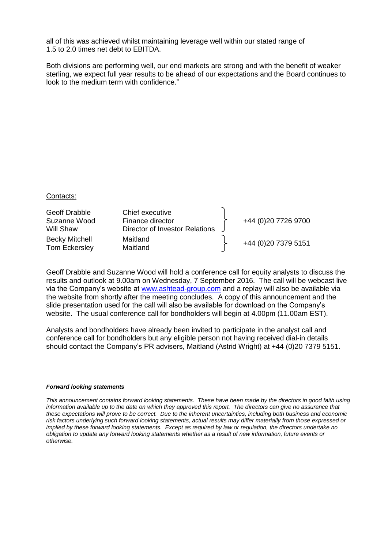all of this was achieved whilst maintaining leverage well within our stated range of 1.5 to 2.0 times net debt to EBITDA.

Both divisions are performing well, our end markets are strong and with the benefit of weaker sterling, we expect full year results to be ahead of our expectations and the Board continues to look to the medium term with confidence."

#### Contacts:

| Geoff Drabble<br>Suzanne Wood<br>Will Shaw | Chief executive<br>Finance director<br><b>Director of Investor Relations</b> | +44 (0)20 7726 9700 |
|--------------------------------------------|------------------------------------------------------------------------------|---------------------|
| <b>Becky Mitchell</b><br>Tom Eckersley     | Maitland<br>Maitland                                                         | +44 (0)20 7379 5151 |

Geoff Drabble and Suzanne Wood will hold a conference call for equity analysts to discuss the results and outlook at 9.00am on Wednesday, 7 September 2016. The call will be webcast live via the Company's website at [www.ashtead-group.com](http://www.ashtead-group.com/) and a replay will also be available via the website from shortly after the meeting concludes. A copy of this announcement and the slide presentation used for the call will also be available for download on the Company's website. The usual conference call for bondholders will begin at 4.00pm (11.00am EST).

Analysts and bondholders have already been invited to participate in the analyst call and conference call for bondholders but any eligible person not having received dial-in details should contact the Company's PR advisers, Maitland (Astrid Wright) at +44 (0)20 7379 5151.

#### *Forward looking statements*

*This announcement contains forward looking statements. These have been made by the directors in good faith using information available up to the date on which they approved this report. The directors can give no assurance that these expectations will prove to be correct. Due to the inherent uncertainties, including both business and economic risk factors underlying such forward looking statements, actual results may differ materially from those expressed or implied by these forward looking statements. Except as required by law or regulation, the directors undertake no obligation to update any forward looking statements whether as a result of new information, future events or otherwise.*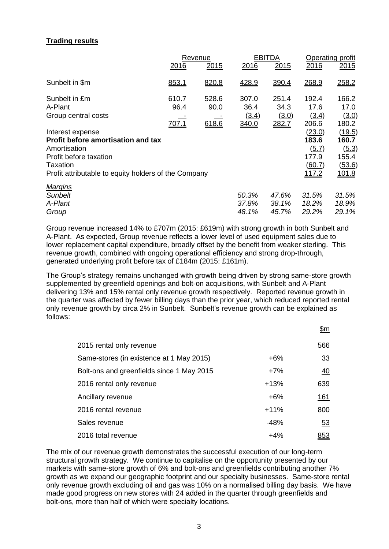## **Trading results**

|                                                                                                                                                                                    | Revenue                       |                        |                                 | EBITDA                          | Operating profit                                            |                                                                           |
|------------------------------------------------------------------------------------------------------------------------------------------------------------------------------------|-------------------------------|------------------------|---------------------------------|---------------------------------|-------------------------------------------------------------|---------------------------------------------------------------------------|
|                                                                                                                                                                                    | 2016                          | 2015                   | 2016                            | 2015                            | 2016                                                        | 2015                                                                      |
| Sunbelt in \$m                                                                                                                                                                     | 853.1                         | 820.8                  | 428.9                           | 390.4                           | 268.9                                                       | 258.2                                                                     |
| Sunbelt in £m<br>A-Plant<br>Group central costs                                                                                                                                    | 610.7<br>96.4<br><u>707.1</u> | 528.6<br>90.0<br>618.6 | 307.0<br>36.4<br>(3.4)<br>340.0 | 251.4<br>34.3<br>(3.0)<br>282.7 | 192.4<br>17.6<br>(3.4)<br>206.6                             | 166.2<br>17.0<br>(3.0)<br>180.2                                           |
| Interest expense<br><b>Profit before amortisation and tax</b><br>Amortisation<br>Profit before taxation<br><b>Taxation</b><br>Profit attributable to equity holders of the Company |                               |                        |                                 |                                 | (23.0)<br>183.6<br>(5.7)<br>177.9<br>(60.7)<br><u>117.2</u> | <u>(19.5)</u><br>160.7<br>(5.3)<br>155.4<br><u>(53.6)</u><br><u>101.8</u> |
| <b>Margins</b><br><b>Sunbelt</b><br>A-Plant<br>Group                                                                                                                               |                               |                        | 50.3%<br>37.8%<br>48.1%         | 47.6%<br>38.1%<br>45.7%         | 31.5%<br>18.2%<br>29.2%                                     | 31.5%<br>18.9%<br>29.1%                                                   |

Group revenue increased 14% to £707m (2015: £619m) with strong growth in both Sunbelt and A-Plant. As expected, Group revenue reflects a lower level of used equipment sales due to lower replacement capital expenditure, broadly offset by the benefit from weaker sterling. This revenue growth, combined with ongoing operational efficiency and strong drop-through, generated underlying profit before tax of £184m (2015: £161m).

The Group's strategy remains unchanged with growth being driven by strong same-store growth supplemented by greenfield openings and bolt-on acquisitions, with Sunbelt and A-Plant delivering 13% and 15% rental only revenue growth respectively. Reported revenue growth in the quarter was affected by fewer billing days than the prior year, which reduced reported rental only revenue growth by circa 2% in Sunbelt. Sunbelt's revenue growth can be explained as follows:

|                                           |        | <u>\$m</u> |
|-------------------------------------------|--------|------------|
| 2015 rental only revenue                  |        | 566        |
| Same-stores (in existence at 1 May 2015)  | $+6%$  | 33         |
| Bolt-ons and greenfields since 1 May 2015 | $+7%$  | 40         |
| 2016 rental only revenue                  | $+13%$ | 639        |
| Ancillary revenue                         | $+6%$  | <u>161</u> |
| 2016 rental revenue                       | $+11%$ | 800        |
| Sales revenue                             | $-48%$ | 53         |
| 2016 total revenue                        | $+4%$  | 853        |

The mix of our revenue growth demonstrates the successful execution of our long-term structural growth strategy. We continue to capitalise on the opportunity presented by our markets with same-store growth of 6% and bolt-ons and greenfields contributing another 7% growth as we expand our geographic footprint and our specialty businesses. Same-store rental only revenue growth excluding oil and gas was 10% on a normalised billing day basis. We have made good progress on new stores with 24 added in the quarter through greenfields and bolt-ons, more than half of which were specialty locations.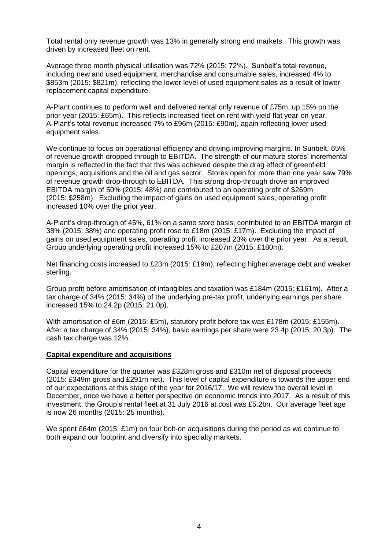Total rental only revenue growth was 13% in generally strong end markets. This growth was driven by increased fleet on rent.

Average three month physical utilisation was 72% (2015: 72%). Sunbelt's total revenue, including new and used equipment, merchandise and consumable sales, increased 4% to \$853m (2015: \$821m), reflecting the lower level of used equipment sales as a result of lower replacement capital expenditure.

A-Plant continues to perform well and delivered rental only revenue of £75m, up 15% on the prior year (2015: £65m). This reflects increased fleet on rent with yield flat year-on-year. A-Plant's total revenue increased 7% to £96m (2015: £90m), again reflecting lower used equipment sales.

We continue to focus on operational efficiency and driving improving margins. In Sunbelt, 65% of revenue growth dropped through to EBITDA. The strength of our mature stores' incremental margin is reflected in the fact that this was achieved despite the drag effect of greenfield openings, acquisitions and the oil and gas sector. Stores open for more than one year saw 79% of revenue growth drop-through to EBITDA. This strong drop-through drove an improved EBITDA margin of 50% (2015: 48%) and contributed to an operating profit of \$269m (2015: \$258m). Excluding the impact of gains on used equipment sales, operating profit increased 10% over the prior year.

A-Plant's drop-through of 45%, 61% on a same store basis, contributed to an EBITDA margin of 38% (2015: 38%) and operating profit rose to £18m (2015: £17m). Excluding the impact of gains on used equipment sales, operating profit increased 23% over the prior year. As a result, Group underlying operating profit increased 15% to £207m (2015: £180m).

Net financing costs increased to £23m (2015: £19m), reflecting higher average debt and weaker sterling.

Group profit before amortisation of intangibles and taxation was £184m (2015: £161m). After a tax charge of 34% (2015: 34%) of the underlying pre-tax profit, underlying earnings per share increased 15% to 24.2p (2015: 21.0p).

With amortisation of £6m (2015: £5m), statutory profit before tax was £178m (2015: £155m). After a tax charge of 34% (2015: 34%), basic earnings per share were 23.4p (2015: 20.3p). The cash tax charge was 12%.

### **Capital expenditure and acquisitions**

Capital expenditure for the quarter was £328m gross and £310m net of disposal proceeds (2015: £349m gross and £291m net). This level of capital expenditure is towards the upper end of our expectations at this stage of the year for 2016/17. We will review the overall level in December, once we have a better perspective on economic trends into 2017. As a result of this investment, the Group's rental fleet at 31 July 2016 at cost was £5.2bn. Our average fleet age is now 26 months (2015: 25 months).

We spent £64m (2015: £1m) on four bolt-on acquisitions during the period as we continue to both expand our footprint and diversify into specialty markets.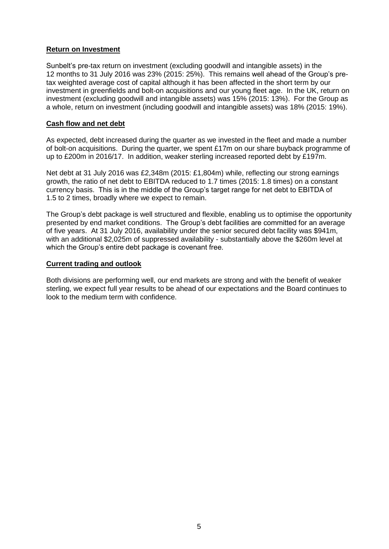### **Return on Investment**

Sunbelt's pre-tax return on investment (excluding goodwill and intangible assets) in the 12 months to 31 July 2016 was 23% (2015: 25%). This remains well ahead of the Group's pretax weighted average cost of capital although it has been affected in the short term by our investment in greenfields and bolt-on acquisitions and our young fleet age. In the UK, return on investment (excluding goodwill and intangible assets) was 15% (2015: 13%). For the Group as a whole, return on investment (including goodwill and intangible assets) was 18% (2015: 19%).

#### **Cash flow and net debt**

As expected, debt increased during the quarter as we invested in the fleet and made a number of bolt-on acquisitions. During the quarter, we spent £17m on our share buyback programme of up to £200m in 2016/17. In addition, weaker sterling increased reported debt by £197m.

Net debt at 31 July 2016 was £2,348m (2015: £1,804m) while, reflecting our strong earnings growth, the ratio of net debt to EBITDA reduced to 1.7 times (2015: 1.8 times) on a constant currency basis. This is in the middle of the Group's target range for net debt to EBITDA of 1.5 to 2 times, broadly where we expect to remain.

The Group's debt package is well structured and flexible, enabling us to optimise the opportunity presented by end market conditions. The Group's debt facilities are committed for an average of five years. At 31 July 2016, availability under the senior secured debt facility was \$941m, with an additional \$2,025m of suppressed availability - substantially above the \$260m level at which the Group's entire debt package is covenant free.

#### **Current trading and outlook**

Both divisions are performing well, our end markets are strong and with the benefit of weaker sterling, we expect full year results to be ahead of our expectations and the Board continues to look to the medium term with confidence.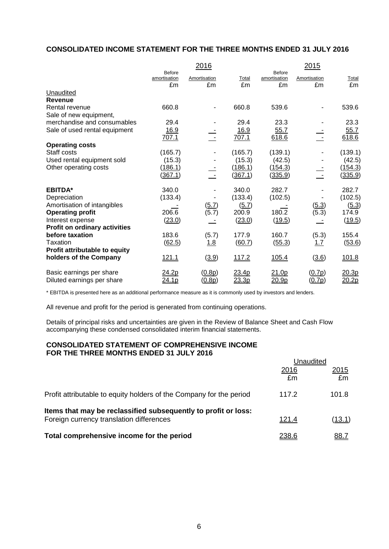## **CONSOLIDATED INCOME STATEMENT FOR THE THREE MONTHS ENDED 31 JULY 2016**

|                               |                                     | 2016               |                   |                                     | 2015               |             |
|-------------------------------|-------------------------------------|--------------------|-------------------|-------------------------------------|--------------------|-------------|
|                               | <b>Before</b><br>amortisation<br>£m | Amortisation<br>£m | Total<br>£m       | <b>Before</b><br>amortisation<br>£m | Amortisation<br>£m | Total<br>£m |
| Unaudited                     |                                     |                    |                   |                                     |                    |             |
| <b>Revenue</b>                |                                     |                    |                   |                                     |                    |             |
| Rental revenue                | 660.8                               |                    | 660.8             | 539.6                               |                    | 539.6       |
| Sale of new equipment,        |                                     |                    |                   |                                     |                    |             |
| merchandise and consumables   | 29.4                                |                    | 29.4              | 23.3                                |                    | 23.3        |
| Sale of used rental equipment | <u>16.9</u>                         |                    | <u>16.9</u>       | 55.7                                |                    | 55.7        |
|                               | 707.1                               |                    | 707.1             | 618.6                               |                    | 618.6       |
| <b>Operating costs</b>        |                                     |                    |                   |                                     |                    |             |
| Staff costs                   | (165.7)                             |                    | (165.7)           | (139.1)                             |                    | (139.1)     |
| Used rental equipment sold    | (15.3)                              |                    | (15.3)            | (42.5)                              |                    | (42.5)      |
| Other operating costs         | (186.1)                             |                    | (186.1)           | (154.3)                             |                    | (154.3)     |
|                               | (367.1)                             | $\sim$ $\sim$      | (367.1)           | (335.9)                             |                    | (335.9)     |
| <b>EBITDA*</b>                | 340.0                               |                    | 340.0             | 282.7                               |                    | 282.7       |
| Depreciation                  | (133.4)                             |                    | (133.4)           | (102.5)                             |                    | (102.5)     |
| Amortisation of intangibles   |                                     | (5.7)              | (5.7)             |                                     | (5.3)              | (5.3)       |
| <b>Operating profit</b>       | 206.6                               | (5.7)              | 200.9             | 180.2                               | (5.3)              | 174.9       |
| Interest expense              | (23.0)                              |                    | (23.0)            | (19.5)                              |                    | (19.5)      |
| Profit on ordinary activities |                                     |                    |                   |                                     |                    |             |
| before taxation               | 183.6                               | (5.7)              | 177.9             | 160.7                               | (5.3)              | 155.4       |
| Taxation                      | (62.5)                              | <u>1.8</u>         | (60.7)            | (55.3)                              | 1.7                | (53.6)      |
| Profit attributable to equity |                                     |                    |                   |                                     |                    |             |
| holders of the Company        | 121.1                               | (3.9)              | 117.2             | 105.4                               | (3.6)              | 101.8       |
| Basic earnings per share      | 24.2p                               | (0.8p)             | 23.4 <sub>p</sub> | 21.0 <sub>p</sub>                   | (0.7p)             | 20.3p       |
| Diluted earnings per share    | <u>24.1p</u>                        | (0.8p)             | 23.3p             | 20.9p                               | (0.7p)             | 20.2p       |

\* EBITDA is presented here as an additional performance measure as it is commonly used by investors and lenders.

All revenue and profit for the period is generated from continuing operations.

Details of principal risks and uncertainties are given in the Review of Balance Sheet and Cash Flow accompanying these condensed consolidated interim financial statements.

#### **CONSOLIDATED STATEMENT OF COMPREHENSIVE INCOME FOR THE THREE MONTHS ENDED 31 JULY 2016**

|                                                                                                            | Unaudited     |               |
|------------------------------------------------------------------------------------------------------------|---------------|---------------|
|                                                                                                            | 2016<br>£m    | 2015<br>£m    |
| Profit attributable to equity holders of the Company for the period                                        | 117.2         | 101.8         |
| Items that may be reclassified subsequently to profit or loss:<br>Foreign currency translation differences | 121.4         | <u>(13.1)</u> |
| Total comprehensive income for the period                                                                  | <u> 238.6</u> | <u>88.7</u>   |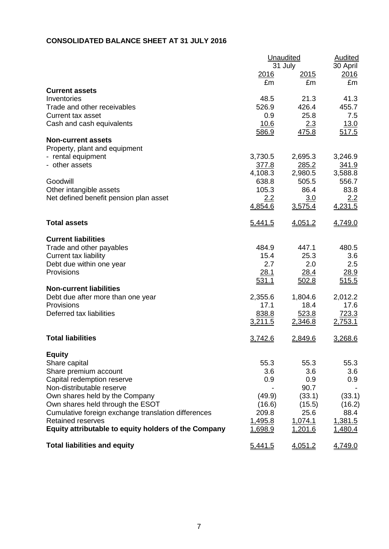# **CONSOLIDATED BALANCE SHEET AT 31 JULY 2016**

|                                                      |              | Unaudited     |              |  |  |
|------------------------------------------------------|--------------|---------------|--------------|--|--|
|                                                      |              | 31 July       | 30 April     |  |  |
|                                                      | <u> 2016</u> | <u> 2015 </u> | 2016         |  |  |
|                                                      | £m           | £m            | £m           |  |  |
| <b>Current assets</b>                                |              |               |              |  |  |
| Inventories                                          | 48.5         | 21.3          | 41.3         |  |  |
| Trade and other receivables                          | 526.9        | 426.4         | 455.7        |  |  |
| <b>Current tax asset</b>                             | 0.9          | 25.8          | 7.5          |  |  |
| Cash and cash equivalents                            | 10.6         | 2.3           | 13.0         |  |  |
|                                                      | 586.9        | 475.8         | 517.5        |  |  |
| <b>Non-current assets</b>                            |              |               |              |  |  |
| Property, plant and equipment                        |              |               |              |  |  |
| - rental equipment                                   | 3,730.5      | 2,695.3       | 3,246.9      |  |  |
| - other assets                                       | <u>377.8</u> | 285.2         | <u>341.9</u> |  |  |
|                                                      | 4,108.3      | 2,980.5       | 3,588.8      |  |  |
| Goodwill                                             | 638.8        | 505.5         | 556.7        |  |  |
| Other intangible assets                              | 105.3        | 86.4          | 83.8         |  |  |
| Net defined benefit pension plan asset               | 2.2          | 3.0           | 2.2          |  |  |
|                                                      | 4,854.6      | 3,575.4       | 4,231.5      |  |  |
| <b>Total assets</b>                                  | 5,441.5      | 4,051.2       | 4,749.0      |  |  |
| <b>Current liabilities</b>                           |              |               |              |  |  |
| Trade and other payables                             | 484.9        | 447.1         | 480.5        |  |  |
| <b>Current tax liability</b>                         | 15.4         | 25.3          | 3.6          |  |  |
| Debt due within one year                             | 2.7          | 2.0           | 2.5          |  |  |
| Provisions                                           | 28.1         | 28.4          | 28.9         |  |  |
|                                                      | 531.1        | 502.8         | 515.5        |  |  |
| <b>Non-current liabilities</b>                       |              |               |              |  |  |
| Debt due after more than one year                    | 2,355.6      | 1,804.6       | 2,012.2      |  |  |
| Provisions                                           | 17.1         | 18.4          | 17.6         |  |  |
| Deferred tax liabilities                             | 838.8        | 523.8         | 723.3        |  |  |
|                                                      | 3,211.5      | 2,346.8       | 2,753.1      |  |  |
| <b>Total liabilities</b>                             | 3,742.6      | 2,849.6       | 3,268.6      |  |  |
| <b>Equity</b>                                        |              |               |              |  |  |
| Share capital                                        | 55.3         | 55.3          | 55.3         |  |  |
| Share premium account                                | 3.6          | 3.6           | 3.6          |  |  |
| Capital redemption reserve                           | 0.9          | 0.9           | 0.9          |  |  |
| Non-distributable reserve                            |              | 90.7          |              |  |  |
| Own shares held by the Company                       | (49.9)       | (33.1)        | (33.1)       |  |  |
| Own shares held through the ESOT                     | (16.6)       | (15.5)        | (16.2)       |  |  |
| Cumulative foreign exchange translation differences  | 209.8        | 25.6          | 88.4         |  |  |
| <b>Retained reserves</b>                             | 1,495.8      | 1,074.1       | 1,381.5      |  |  |
| Equity attributable to equity holders of the Company | 1,698.9      | 1,201.6       | 1,480.4      |  |  |
| <b>Total liabilities and equity</b>                  | 5,441.5      | 4,051.2       | 4,749.0      |  |  |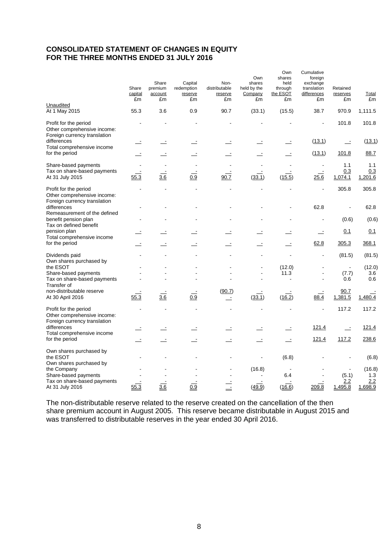## **CONSOLIDATED STATEMENT OF CHANGES IN EQUITY FOR THE THREE MONTHS ENDED 31 JULY 2016**

| Unaudited<br>At 1 May 2015                                                                          | Share<br>capital<br>£m<br>55.3 | Share<br>premium<br>account<br>£m<br>3.6 | Capital<br>redemption<br>reserve<br>£m<br>0.9 | Non-<br>distributable<br>reserve<br>£m<br>90.7 | Own<br>shares<br>held by the<br>Company<br>£m<br>(33.1) | Own<br>shares<br>held<br>through<br>the ESOT<br>£m<br>(15.5) | Cumulative<br>foreign<br>exchange<br>translation<br>differences<br>£m<br>38.7 | Retained<br>reserves<br>£m<br>970.9 | Total<br>£m<br>1,111.5 |
|-----------------------------------------------------------------------------------------------------|--------------------------------|------------------------------------------|-----------------------------------------------|------------------------------------------------|---------------------------------------------------------|--------------------------------------------------------------|-------------------------------------------------------------------------------|-------------------------------------|------------------------|
|                                                                                                     |                                |                                          |                                               |                                                |                                                         |                                                              |                                                                               |                                     |                        |
| Profit for the period<br>Other comprehensive income:<br>Foreign currency translation<br>differences |                                |                                          | $\equiv$                                      |                                                |                                                         |                                                              | (13.1)                                                                        | 101.8<br>$\equiv$                   | 101.8<br>(13.1)        |
| Total comprehensive income<br>for the period                                                        |                                |                                          |                                               |                                                |                                                         |                                                              | (13.1)                                                                        | 101.8                               | 88.7                   |
| Share-based payments                                                                                |                                |                                          |                                               |                                                |                                                         |                                                              |                                                                               | 1.1                                 | 1.1                    |
| Tax on share-based payments<br>At 31 July 2015                                                      | 55.3                           | 3.6                                      | 0.9                                           | 90.7                                           | (33.1)                                                  | (15.5)                                                       | 25.6                                                                          | 0.3<br>1,074.1                      | 0.3<br>1,201.6         |
| Profit for the period<br>Other comprehensive income:<br>Foreign currency translation                |                                |                                          |                                               |                                                |                                                         |                                                              | L,                                                                            | 305.8                               | 305.8                  |
| differences<br>Remeasurement of the defined                                                         |                                |                                          |                                               |                                                |                                                         |                                                              | 62.8                                                                          |                                     | 62.8                   |
| benefit pension plan<br>Tax on defined benefit                                                      |                                |                                          |                                               |                                                |                                                         |                                                              | $\overline{a}$                                                                | (0.6)                               | (0.6)                  |
| pension plan<br>Total comprehensive income                                                          |                                |                                          |                                               |                                                |                                                         |                                                              |                                                                               | 0.1                                 | 0.1                    |
| for the period                                                                                      |                                |                                          |                                               |                                                |                                                         |                                                              | 62.8                                                                          | 305.3                               | 368.1                  |
| Dividends paid<br>Own shares purchased by                                                           |                                |                                          |                                               |                                                |                                                         |                                                              |                                                                               | (81.5)                              | (81.5)                 |
| the ESOT                                                                                            |                                |                                          |                                               |                                                |                                                         | (12.0)                                                       |                                                                               |                                     | (12.0)                 |
| Share-based payments                                                                                |                                |                                          |                                               |                                                |                                                         | 11.3<br>$\overline{a}$                                       |                                                                               | (7.7)                               | 3.6<br>0.6             |
| Tax on share-based payments<br>Transfer of                                                          |                                |                                          |                                               |                                                |                                                         |                                                              |                                                                               | 0.6                                 |                        |
| non-distributable reserve<br>At 30 April 2016                                                       | 55.3                           | $\overline{3.6}$                         | $\overline{0.9}$                              | (90.7)<br>$\overline{\phantom{a}}$             | (33.1)                                                  | (16.2)                                                       | 88.4                                                                          | 90.7<br>1,381.5                     | 1,480.4                |
| Profit for the period<br>Other comprehensive income:<br>Foreign currency translation                |                                |                                          |                                               |                                                |                                                         |                                                              |                                                                               | 117.2                               | 117.2                  |
| differences<br>Total comprehensive income                                                           |                                |                                          |                                               |                                                |                                                         |                                                              | 121.4                                                                         | $\equiv$                            | 121.4                  |
| for the period                                                                                      |                                |                                          |                                               | $\overline{\phantom{a}}$                       | $\overline{\phantom{a}}$                                | $\overline{\phantom{a}}$                                     | 121.4                                                                         | 117.2                               | 238.6                  |
| Own shares purchased by<br>the ESOT                                                                 |                                |                                          |                                               |                                                |                                                         | (6.8)                                                        |                                                                               |                                     | (6.8)                  |
| Own shares purchased by<br>the Company                                                              |                                |                                          |                                               |                                                | (16.8)                                                  |                                                              |                                                                               |                                     | (16.8)                 |
| Share-based payments                                                                                |                                |                                          |                                               |                                                |                                                         | 6.4                                                          |                                                                               | (5.1)                               | 1.3                    |
| Tax on share-based payments<br>At 31 July 2016                                                      | 55.3                           | $\overline{3.6}$                         | 0.9                                           |                                                | (49.9)                                                  | (16.6)                                                       | 209.8                                                                         | 2.2<br>1,495.8                      | 2.2<br>1,698.9         |

The non-distributable reserve related to the reserve created on the cancellation of the then share premium account in August 2005. This reserve became distributable in August 2015 and was transferred to distributable reserves in the year ended 30 April 2016.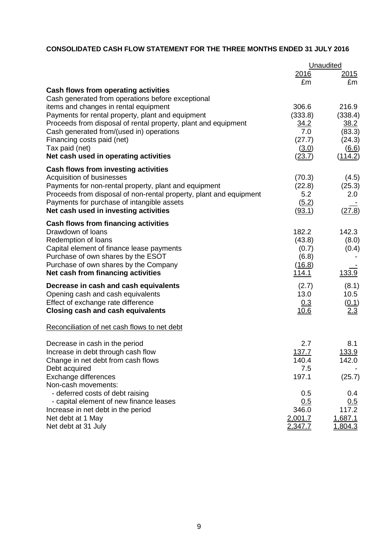## **CONSOLIDATED CASH FLOW STATEMENT FOR THE THREE MONTHS ENDED 31 JULY 2016**

|                                                                                 | Unaudited       |                  |  |
|---------------------------------------------------------------------------------|-----------------|------------------|--|
|                                                                                 | 2016            | 2015             |  |
|                                                                                 | £m              | £m               |  |
| Cash flows from operating activities                                            |                 |                  |  |
| Cash generated from operations before exceptional                               |                 |                  |  |
| items and changes in rental equipment                                           | 306.6           | 216.9            |  |
| Payments for rental property, plant and equipment                               | (333.8)         | (338.4)          |  |
| Proceeds from disposal of rental property, plant and equipment                  | 34.2            | 38.2             |  |
| Cash generated from/(used in) operations                                        | 7.0             | (83.3)           |  |
| Financing costs paid (net)                                                      | (27.7)          | (24.3)           |  |
| Tax paid (net)<br>Net cash used in operating activities                         | (3.0)<br>(23.7) | (6.6)<br>(114.2) |  |
| <b>Cash flows from investing activities</b>                                     |                 |                  |  |
| Acquisition of businesses                                                       | (70.3)          | (4.5)            |  |
| Payments for non-rental property, plant and equipment                           | (22.8)          | (25.3)           |  |
| Proceeds from disposal of non-rental property, plant and equipment              | 5.2             | 2.0              |  |
| Payments for purchase of intangible assets                                      | (5.2)           |                  |  |
| Net cash used in investing activities                                           | (93.1)          | (27.8)           |  |
| Cash flows from financing activities                                            |                 |                  |  |
| Drawdown of loans                                                               | 182.2           | 142.3            |  |
| Redemption of loans                                                             | (43.8)          | (8.0)            |  |
| Capital element of finance lease payments<br>Purchase of own shares by the ESOT | (0.7)<br>(6.8)  | (0.4)            |  |
| Purchase of own shares by the Company                                           | (16.8)          |                  |  |
| Net cash from financing activities                                              | <u>114.1</u>    | 133.9            |  |
| Decrease in cash and cash equivalents                                           | (2.7)           | (8.1)            |  |
| Opening cash and cash equivalents                                               | 13.0            | 10.5             |  |
| Effect of exchange rate difference                                              | 0.3             | (0.1)            |  |
| <b>Closing cash and cash equivalents</b>                                        | <u>10.6</u>     | 2.3              |  |
| Reconciliation of net cash flows to net debt                                    |                 |                  |  |
| Decrease in cash in the period                                                  | 2.7             | 8.1              |  |
| Increase in debt through cash flow                                              | 137.7           | 133.9            |  |
| Change in net debt from cash flows                                              | 140.4           | 142.0            |  |
| Debt acquired                                                                   | 7.5             |                  |  |
| Exchange differences                                                            | 197.1           | (25.7)           |  |
| Non-cash movements:                                                             |                 |                  |  |
| - deferred costs of debt raising                                                | 0.5             | 0.4              |  |
| - capital element of new finance leases                                         | 0.5<br>346.0    | 0.5<br>117.2     |  |
| Increase in net debt in the period<br>Net debt at 1 May                         | 2,001.7         | 1,687.1          |  |
| Net debt at 31 July                                                             | 2,347.7         | 1,804.3          |  |
|                                                                                 |                 |                  |  |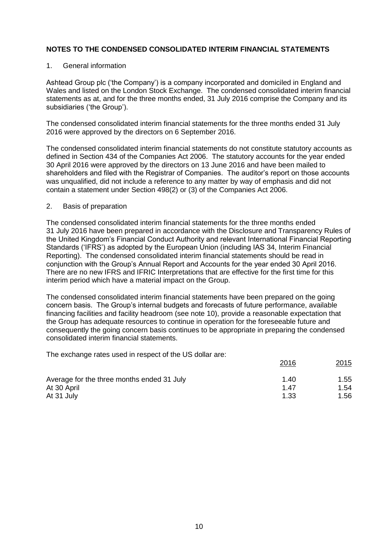#### 1. General information

Ashtead Group plc ('the Company') is a company incorporated and domiciled in England and Wales and listed on the London Stock Exchange. The condensed consolidated interim financial statements as at, and for the three months ended, 31 July 2016 comprise the Company and its subsidiaries ('the Group').

The condensed consolidated interim financial statements for the three months ended 31 July 2016 were approved by the directors on 6 September 2016.

The condensed consolidated interim financial statements do not constitute statutory accounts as defined in Section 434 of the Companies Act 2006. The statutory accounts for the year ended 30 April 2016 were approved by the directors on 13 June 2016 and have been mailed to shareholders and filed with the Registrar of Companies. The auditor's report on those accounts was unqualified, did not include a reference to any matter by way of emphasis and did not contain a statement under Section 498(2) or (3) of the Companies Act 2006.

#### 2. Basis of preparation

The condensed consolidated interim financial statements for the three months ended 31 July 2016 have been prepared in accordance with the Disclosure and Transparency Rules of the United Kingdom's Financial Conduct Authority and relevant International Financial Reporting Standards ('IFRS') as adopted by the European Union (including IAS 34, Interim Financial Reporting). The condensed consolidated interim financial statements should be read in conjunction with the Group's Annual Report and Accounts for the year ended 30 April 2016. There are no new IFRS and IFRIC Interpretations that are effective for the first time for this interim period which have a material impact on the Group.

The condensed consolidated interim financial statements have been prepared on the going concern basis. The Group's internal budgets and forecasts of future performance, available financing facilities and facility headroom (see note 10), provide a reasonable expectation that the Group has adequate resources to continue in operation for the foreseeable future and consequently the going concern basis continues to be appropriate in preparing the condensed consolidated interim financial statements.

The exchange rates used in respect of the US dollar are:

|                                            | 2016 | <u>2015</u> |
|--------------------------------------------|------|-------------|
| Average for the three months ended 31 July | 1.40 | 1.55        |
| At 30 April                                | 1.47 | 1.54        |
| At 31 July                                 | 1.33 | 1.56        |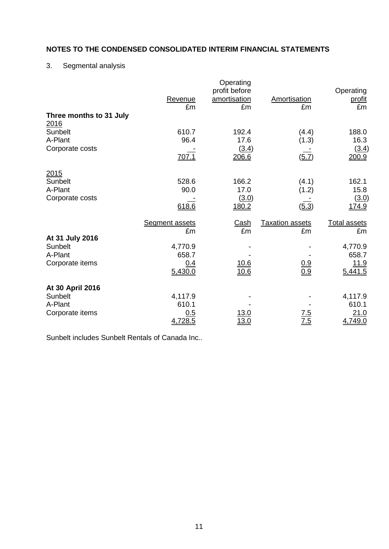## 3. Segmental analysis

| Three months to 31 July                                   | Revenue<br>£m                                                     | Operating<br>profit before<br>amortisation<br>£m | <b>Amortisation</b><br>£m                         | Operating<br><u>profit</u><br>£m                                        |
|-----------------------------------------------------------|-------------------------------------------------------------------|--------------------------------------------------|---------------------------------------------------|-------------------------------------------------------------------------|
| 2016<br>Sunbelt<br>A-Plant<br>Corporate costs             | 610.7<br>96.4<br>707.1                                            | 192.4<br>17.6<br>(3.4)<br>206.6                  | (4.4)<br>(1.3)<br>$(\underline{5.7})$             | 188.0<br>16.3<br>(3.4)<br>200.9                                         |
| 2015<br>Sunbelt<br>A-Plant<br>Corporate costs             | 528.6<br>90.0<br>618.6                                            | 166.2<br>17.0<br>(3.0)<br>180.2                  | (4.1)<br>(1.2)<br>(5.3)                           | 162.1<br>15.8<br>(3.0)<br>174.9                                         |
| At 31 July 2016<br>Sunbelt<br>A-Plant<br>Corporate items  | <b>Segment assets</b><br>£m<br>4,770.9<br>658.7<br>0.4<br>5,430.0 | <u>Cash</u><br>£m<br><u>10.6</u><br>10.6         | <b>Taxation assets</b><br>£m<br>$\frac{0.9}{0.9}$ | <b>Total assets</b><br>£m<br>4,770.9<br>658.7<br><u>11.9</u><br>5,441.5 |
| At 30 April 2016<br>Sunbelt<br>A-Plant<br>Corporate items | 4,117.9<br>610.1<br>0.5<br>4,728.5                                | 13.0<br>13.0                                     | 5.'<br>7.5                                        | 4,117.9<br>610.1<br>21.0<br>4,749.0                                     |

Sunbelt includes Sunbelt Rentals of Canada Inc..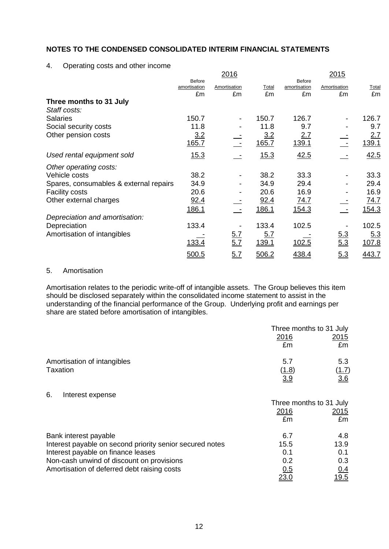4. Operating costs and other income

|                                        |                                     | 2016                     |             |                                     | 2015               |             |
|----------------------------------------|-------------------------------------|--------------------------|-------------|-------------------------------------|--------------------|-------------|
|                                        | <b>Before</b><br>amortisation<br>£m | Amortisation<br>£m       | Total<br>£m | <b>Before</b><br>amortisation<br>£m | Amortisation<br>£m | Total<br>£m |
| Three months to 31 July                |                                     |                          |             |                                     |                    |             |
| Staff costs:                           |                                     |                          |             |                                     |                    |             |
| <b>Salaries</b>                        | 150.7                               |                          | 150.7       | 126.7                               |                    | 126.7       |
| Social security costs                  | 11.8                                |                          | 11.8        | 9.7                                 |                    | 9.7         |
| Other pension costs                    | 3.2                                 |                          | 3.2         | <u>2.7</u>                          |                    | 2.7         |
|                                        | <u>165.7</u>                        |                          | 165.7       | 139.1                               |                    | 139.1       |
| Used rental equipment sold             | 15.3                                |                          | 15.3        | 42.5                                |                    | 42.5        |
| Other operating costs:                 |                                     |                          |             |                                     |                    |             |
| Vehicle costs                          | 38.2                                | $\overline{\phantom{a}}$ | 38.2        | 33.3                                |                    | 33.3        |
| Spares, consumables & external repairs | 34.9                                |                          | 34.9        | 29.4                                |                    | 29.4        |
| <b>Facility costs</b>                  | 20.6                                |                          | 20.6        | 16.9                                |                    | 16.9        |
| Other external charges                 | 92.4                                |                          | 92.4        | <u>74.7</u>                         |                    | 74.7        |
|                                        | <u>186.1</u>                        |                          | 186.1       | <u>154.3</u>                        |                    | 154.3       |
| Depreciation and amortisation:         |                                     |                          |             |                                     |                    |             |
| Depreciation                           | 133.4                               |                          | 133.4       | 102.5                               |                    | 102.5       |
| Amortisation of intangibles            |                                     |                          | 5.7         |                                     |                    | 5.3         |
|                                        | 133.4                               | $\frac{5.7}{5.7}$        | 139.1       | 102.5                               | $\frac{5.3}{5.3}$  | 107.8       |
|                                        | 500.5                               | <u>5.7</u>               | 506.2       | 438.4                               | 5.3                | 443.7       |

## 5. Amortisation

Amortisation relates to the periodic write-off of intangible assets. The Group believes this item should be disclosed separately within the consolidated income statement to assist in the understanding of the financial performance of the Group. Underlying profit and earnings per share are stated before amortisation of intangibles.

|                                                          | Three months to 31 July |              |
|----------------------------------------------------------|-------------------------|--------------|
|                                                          | 2016                    | <u>2015</u>  |
|                                                          | £m                      | £m           |
| Amortisation of intangibles                              | 5.7                     | 5.3          |
| <b>Taxation</b>                                          | (1.8)                   | <u>(1.7)</u> |
|                                                          | 3.9                     | 3.6          |
| 6.<br>Interest expense                                   |                         |              |
|                                                          | Three months to 31 July |              |
|                                                          | 2016                    | <u>2015</u>  |
|                                                          | £m                      | £m           |
| Bank interest payable                                    | 6.7                     | 4.8          |
| Interest payable on second priority senior secured notes | 15.5                    | 13.9         |
| Interest payable on finance leases                       | 0.1                     | 0.1          |
| Non-cash unwind of discount on provisions                | 0.2                     | 0.3          |
| Amortisation of deferred debt raising costs              | 0.5                     | <u>0.4</u>   |
|                                                          | 23.0                    | 19.5         |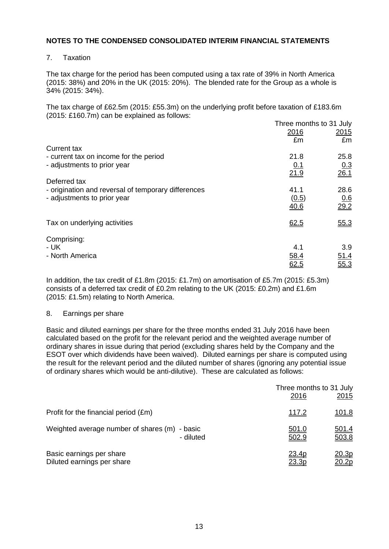7. Taxation

The tax charge for the period has been computed using a tax rate of 39% in North America (2015: 38%) and 20% in the UK (2015: 20%). The blended rate for the Group as a whole is 34% (2015: 34%).

The tax charge of £62.5m (2015: £55.3m) on the underlying profit before taxation of £183.6m (2015: £160.7m) can be explained as follows:

|                                                     |            | Three months to 31 July |
|-----------------------------------------------------|------------|-------------------------|
|                                                     | 2016       | <u>2015</u>             |
|                                                     | £m         | £m                      |
| Current tax                                         |            |                         |
| - current tax on income for the period              | 21.8       | 25.8                    |
| - adjustments to prior year                         | <u>0.1</u> |                         |
|                                                     | 21.9       | $\frac{0.3}{26.1}$      |
| Deferred tax                                        |            |                         |
| - origination and reversal of temporary differences | 41.1       | 28.6                    |
| - adjustments to prior year                         | (0.5)      |                         |
|                                                     | 40.6       | $\frac{0.6}{29.2}$      |
|                                                     |            |                         |
| Tax on underlying activities                        | 62.5       | 55.3                    |
|                                                     |            |                         |
| Comprising:                                         |            |                         |
| - UK                                                | 4.1        | 3.9                     |
| - North America                                     | 58.4       | 51.4                    |
|                                                     | 62.5       | 55.3                    |
|                                                     |            |                         |

In addition, the tax credit of £1.8m (2015: £1.7m) on amortisation of £5.7m (2015: £5.3m) consists of a deferred tax credit of £0.2m relating to the UK (2015: £0.2m) and £1.6m (2015: £1.5m) relating to North America.

### 8. Earnings per share

Basic and diluted earnings per share for the three months ended 31 July 2016 have been calculated based on the profit for the relevant period and the weighted average number of ordinary shares in issue during that period (excluding shares held by the Company and the ESOT over which dividends have been waived). Diluted earnings per share is computed using the result for the relevant period and the diluted number of shares (ignoring any potential issue of ordinary shares which would be anti-dilutive). These are calculated as follows:

|                                               | Three months to 31 July<br>2016 | <u>2015</u>  |
|-----------------------------------------------|---------------------------------|--------------|
| Profit for the financial period (£m)          | <u>117.2</u>                    | <u>101.8</u> |
| Weighted average number of shares (m) - basic | 501.0                           | <u>501.4</u> |
| - diluted                                     | 502.9                           | 503.8        |
| Basic earnings per share                      | 23.4p                           | <u>20.3p</u> |
| Diluted earnings per share                    | 23.3p                           | <u>20.2p</u> |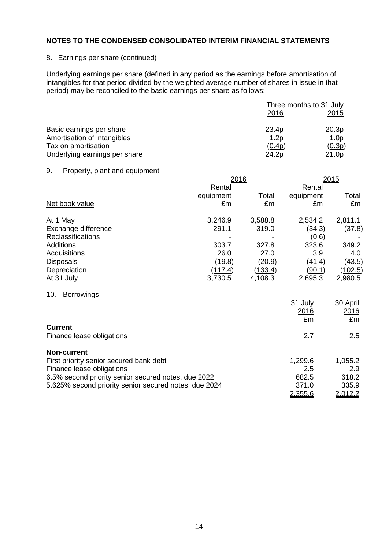#### 8. Earnings per share (continued)

Underlying earnings per share (defined in any period as the earnings before amortisation of intangibles for that period divided by the weighted average number of shares in issue in that period) may be reconciled to the basic earnings per share as follows:

|                               | Three months to 31 July |                  |  |
|-------------------------------|-------------------------|------------------|--|
|                               | 2016                    | <u>2015</u>      |  |
| Basic earnings per share      | 23.4p                   | 20.3p            |  |
| Amortisation of intangibles   | 1.2 <sub>p</sub>        | 1.0 <sub>p</sub> |  |
| Tax on amortisation           | (0.4p)                  | (0.3p)           |  |
| Underlying earnings per share | <u>24.2p</u>            | 21.0p            |  |

#### 9. Property, plant and equipment

|                                                       | 2016      |              |           | <u> 2015</u>   |  |
|-------------------------------------------------------|-----------|--------------|-----------|----------------|--|
|                                                       | Rental    |              | Rental    |                |  |
|                                                       | equipment | <u>Total</u> | equipment | <b>Total</b>   |  |
| Net book value                                        | £m        | £m           | £m        | £m             |  |
| At 1 May                                              | 3,246.9   | 3,588.8      | 2,534.2   | 2,811.1        |  |
| Exchange difference                                   | 291.1     | 319.0        | (34.3)    | (37.8)         |  |
| Reclassifications                                     |           |              | (0.6)     |                |  |
| <b>Additions</b>                                      | 303.7     | 327.8        | 323.6     | 349.2          |  |
| Acquisitions                                          | 26.0      | 27.0         | 3.9       | 4.0            |  |
| <b>Disposals</b>                                      | (19.8)    | (20.9)       | (41.4)    | (43.5)         |  |
| Depreciation                                          | (117.4)   | (133.4)      | (90.1)    | <u>(102.5)</u> |  |
| At 31 July                                            | 3,730.5   | 4,108.3      | 2,695.3   | <u>2,980.5</u> |  |
| <b>Borrowings</b><br>10.                              |           |              |           |                |  |
|                                                       |           |              | 31 July   | 30 April       |  |
|                                                       |           |              | 2016      | 2016           |  |
|                                                       |           |              | £m        | £m             |  |
| <b>Current</b>                                        |           |              |           |                |  |
| Finance lease obligations                             |           |              | 2.7       | <u>2.5</u>     |  |
| <b>Non-current</b>                                    |           |              |           |                |  |
| First priority senior secured bank debt               |           |              | 1,299.6   | 1,055.2        |  |
| Finance lease obligations                             |           |              | 2.5       | 2.9            |  |
| 6.5% second priority senior secured notes, due 2022   |           |              | 682.5     | 618.2          |  |
| 5.625% second priority senior secured notes, due 2024 |           |              | 371.0     | 335.9          |  |
|                                                       |           |              | 2,355.6   | 2,012.2        |  |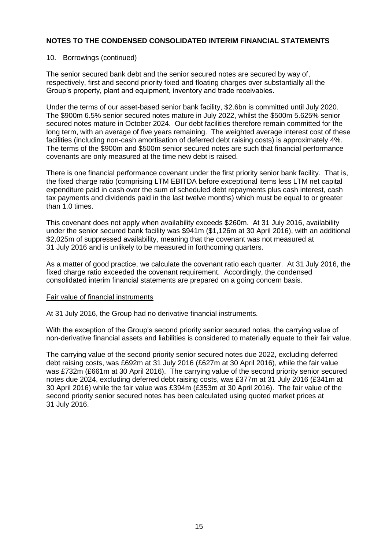#### 10. Borrowings (continued)

The senior secured bank debt and the senior secured notes are secured by way of, respectively, first and second priority fixed and floating charges over substantially all the Group's property, plant and equipment, inventory and trade receivables.

Under the terms of our asset-based senior bank facility, \$2.6bn is committed until July 2020. The \$900m 6.5% senior secured notes mature in July 2022, whilst the \$500m 5.625% senior secured notes mature in October 2024. Our debt facilities therefore remain committed for the long term, with an average of five years remaining. The weighted average interest cost of these facilities (including non-cash amortisation of deferred debt raising costs) is approximately 4%. The terms of the \$900m and \$500m senior secured notes are such that financial performance covenants are only measured at the time new debt is raised.

There is one financial performance covenant under the first priority senior bank facility. That is, the fixed charge ratio (comprising LTM EBITDA before exceptional items less LTM net capital expenditure paid in cash over the sum of scheduled debt repayments plus cash interest, cash tax payments and dividends paid in the last twelve months) which must be equal to or greater than 1.0 times.

This covenant does not apply when availability exceeds \$260m. At 31 July 2016, availability under the senior secured bank facility was \$941m (\$1,126m at 30 April 2016), with an additional \$2,025m of suppressed availability, meaning that the covenant was not measured at 31 July 2016 and is unlikely to be measured in forthcoming quarters.

As a matter of good practice, we calculate the covenant ratio each quarter. At 31 July 2016, the fixed charge ratio exceeded the covenant requirement. Accordingly, the condensed consolidated interim financial statements are prepared on a going concern basis.

#### Fair value of financial instruments

At 31 July 2016, the Group had no derivative financial instruments.

With the exception of the Group's second priority senior secured notes, the carrying value of non-derivative financial assets and liabilities is considered to materially equate to their fair value.

The carrying value of the second priority senior secured notes due 2022, excluding deferred debt raising costs, was £692m at 31 July 2016 (£627m at 30 April 2016), while the fair value was £732m (£661m at 30 April 2016). The carrying value of the second priority senior secured notes due 2024, excluding deferred debt raising costs, was £377m at 31 July 2016 (£341m at 30 April 2016) while the fair value was £394m (£353m at 30 April 2016). The fair value of the second priority senior secured notes has been calculated using quoted market prices at 31 July 2016.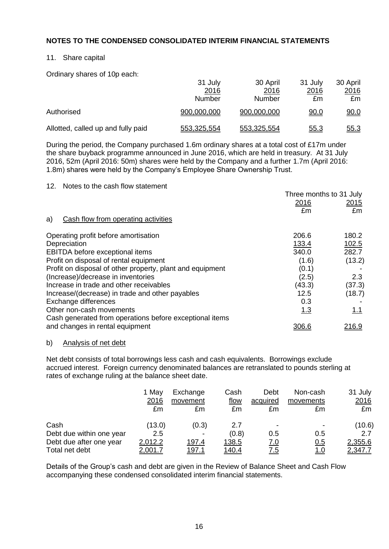### 11. Share capital

Ordinary shares of 10p each:

|                                    | 31 July     | 30 April    | 31 July     | 30 April    |
|------------------------------------|-------------|-------------|-------------|-------------|
|                                    | 2016        | 2016        | 2016        | 2016        |
|                                    | Number      | Number      | £m          | £m          |
| Authorised                         | 900,000,000 | 900,000,000 | <u>90.0</u> | <u>90.0</u> |
| Allotted, called up and fully paid | 553,325,554 | 553,325,554 | <u>55.3</u> | <u>55.3</u> |

During the period, the Company purchased 1.6m ordinary shares at a total cost of £17m under the share buyback programme announced in June 2016, which are held in treasury. At 31 July 2016, 52m (April 2016: 50m) shares were held by the Company and a further 1.7m (April 2016: 1.8m) shares were held by the Company's Employee Share Ownership Trust.

#### 12. Notes to the cash flow statement

|                                                           | Three months to 31 July |               |
|-----------------------------------------------------------|-------------------------|---------------|
|                                                           | 2016                    | <u>2015</u>   |
|                                                           | £m                      | £m            |
| Cash flow from operating activities<br>a)                 |                         |               |
| Operating profit before amortisation                      | 206.6                   | 180.2         |
| Depreciation                                              | 133.4                   | 102.5         |
| EBITDA before exceptional items                           | 340.0                   | 282.7         |
| Profit on disposal of rental equipment                    | (1.6)                   | (13.2)        |
| Profit on disposal of other property, plant and equipment | (0.1)                   |               |
| (Increase)/decrease in inventories                        | (2.5)                   | 2.3           |
| Increase in trade and other receivables                   | (43.3)                  | (37.3)        |
| Increase/(decrease) in trade and other payables           | 12.5                    | (18.7)        |
| Exchange differences                                      | 0.3                     |               |
| Other non-cash movements                                  | 1.3                     | 1.1           |
| Cash generated from operations before exceptional items   |                         |               |
| and changes in rental equipment                           | 306.6                   | <u> 216.9</u> |

#### b) Analysis of net debt

Net debt consists of total borrowings less cash and cash equivalents. Borrowings exclude accrued interest. Foreign currency denominated balances are retranslated to pounds sterling at rates of exchange ruling at the balance sheet date.

|                          | 1 May<br>2016<br>£m | Exchange<br>movement<br>£m | Cash<br>flow<br>£m | Debt<br>acquired<br>£m   | Non-cash<br>movements<br>£m | 31 July<br>2016<br>£m |
|--------------------------|---------------------|----------------------------|--------------------|--------------------------|-----------------------------|-----------------------|
| Cash                     | (13.0)              | (0.3)                      | 2.7                | $\overline{\phantom{0}}$ | $\overline{\phantom{0}}$    | (10.6)                |
| Debt due within one year | 2.5                 |                            | (0.8)              | 0.5                      | 0.5                         | 2.7                   |
| Debt due after one year  | 2,012.2             | 197.4                      | <u> 138.5</u>      | <u>7.0</u>               | <u>0.5</u>                  | 2,355.6               |
| Total net debt           | <u>2,001.7</u>      | <u> 197.1</u>              | <u> 140.4</u>      | <u>7.5</u>               | <u>1.0</u>                  | 2,347.7               |

Details of the Group's cash and debt are given in the Review of Balance Sheet and Cash Flow accompanying these condensed consolidated interim financial statements.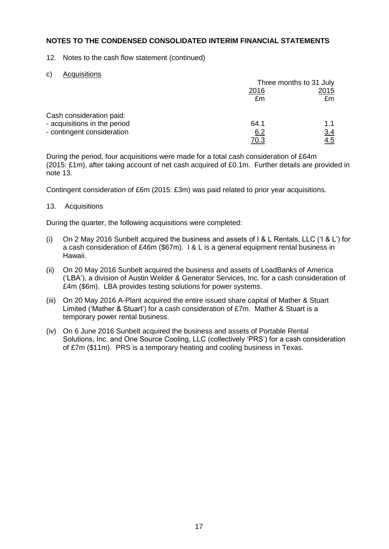12. Notes to the cash flow statement (continued)

c) Acquisitions

|                              | Three months to 31 July |      |  |
|------------------------------|-------------------------|------|--|
|                              | 2016                    | 2015 |  |
|                              | £m                      | £m   |  |
| Cash consideration paid:     |                         |      |  |
| - acquisitions in the period | 64.1                    | 1.1  |  |
| - contingent consideration   | 6.2                     | 3.4  |  |
|                              | <u>70.3</u>             | 4.5  |  |

During the period, four acquisitions were made for a total cash consideration of £64m (2015: £1m), after taking account of net cash acquired of £0.1m. Further details are provided in note 13.

Contingent consideration of £6m (2015: £3m) was paid related to prior year acquisitions.

13. Acquisitions

During the quarter, the following acquisitions were completed:

- (i) On 2 May 2016 Sunbelt acquired the business and assets of I & L Rentals, LLC ('I & L') for a cash consideration of £46m (\$67m). I & L is a general equipment rental business in Hawaii.
- (ii) On 20 May 2016 Sunbelt acquired the business and assets of LoadBanks of America ('LBA'), a division of Austin Welder & Generator Services, Inc. for a cash consideration of £4m (\$6m). LBA provides testing solutions for power systems.
- (iii) On 20 May 2016 A-Plant acquired the entire issued share capital of Mather & Stuart Limited ('Mather & Stuart') for a cash consideration of £7m. Mather & Stuart is a temporary power rental business.
- (iv) On 6 June 2016 Sunbelt acquired the business and assets of Portable Rental Solutions, Inc. and One Source Cooling, LLC (collectively 'PRS') for a cash consideration of £7m (\$11m). PRS is a temporary heating and cooling business in Texas.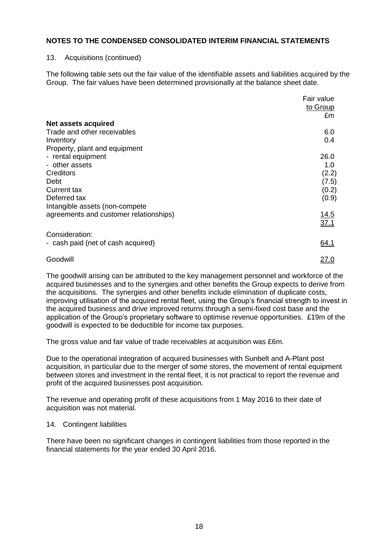#### 13. Acquisitions (continued)

The following table sets out the fair value of the identifiable assets and liabilities acquired by the Group. The fair values have been determined provisionally at the balance sheet date.

|                                        | Fair value<br>to Group<br>£m |
|----------------------------------------|------------------------------|
| Net assets acquired                    |                              |
| Trade and other receivables            | 6.0                          |
| Inventory                              | 0.4                          |
| Property, plant and equipment          |                              |
| - rental equipment                     | 26.0                         |
| - other assets                         | 1.0                          |
| Creditors                              | (2.2)                        |
| Debt                                   | (7.5)                        |
| Current tax                            | (0.2)                        |
| Deferred tax                           | (0.9)                        |
| Intangible assets (non-compete         |                              |
| agreements and customer relationships) | 14.5                         |
|                                        | 37.1                         |
| Consideration:                         |                              |
| - cash paid (net of cash acquired)     | 64.1                         |
| Goodwill                               | <u> 27.0</u>                 |

The goodwill arising can be attributed to the key management personnel and workforce of the acquired businesses and to the synergies and other benefits the Group expects to derive from the acquisitions. The synergies and other benefits include elimination of duplicate costs, improving utilisation of the acquired rental fleet, using the Group's financial strength to invest in the acquired business and drive improved returns through a semi-fixed cost base and the application of the Group's proprietary software to optimise revenue opportunities. £19m of the goodwill is expected to be deductible for income tax purposes.

The gross value and fair value of trade receivables at acquisition was £6m.

Due to the operational integration of acquired businesses with Sunbelt and A-Plant post acquisition, in particular due to the merger of some stores, the movement of rental equipment between stores and investment in the rental fleet, it is not practical to report the revenue and profit of the acquired businesses post acquisition.

The revenue and operating profit of these acquisitions from 1 May 2016 to their date of acquisition was not material.

#### 14. Contingent liabilities

There have been no significant changes in contingent liabilities from those reported in the financial statements for the year ended 30 April 2016.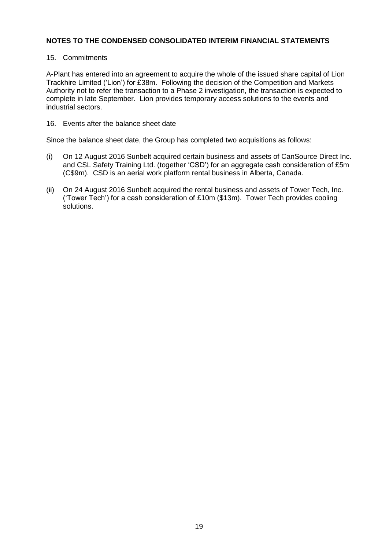### 15. Commitments

A-Plant has entered into an agreement to acquire the whole of the issued share capital of Lion Trackhire Limited ('Lion') for £38m. Following the decision of the Competition and Markets Authority not to refer the transaction to a Phase 2 investigation, the transaction is expected to complete in late September. Lion provides temporary access solutions to the events and industrial sectors.

16. Events after the balance sheet date

Since the balance sheet date, the Group has completed two acquisitions as follows:

- (i) On 12 August 2016 Sunbelt acquired certain business and assets of CanSource Direct Inc. and CSL Safety Training Ltd. (together 'CSD') for an aggregate cash consideration of £5m (C\$9m). CSD is an aerial work platform rental business in Alberta, Canada.
- (ii) On 24 August 2016 Sunbelt acquired the rental business and assets of Tower Tech, Inc. ('Tower Tech') for a cash consideration of £10m (\$13m). Tower Tech provides cooling solutions.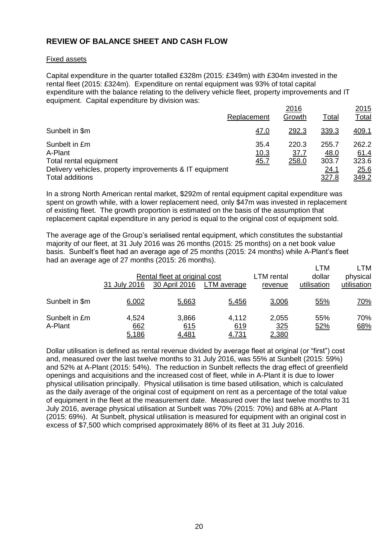## **REVIEW OF BALANCE SHEET AND CASH FLOW**

#### Fixed assets

Capital expenditure in the quarter totalled £328m (2015: £349m) with £304m invested in the rental fleet (2015: £324m). Expenditure on rental equipment was 93% of total capital expenditure with the balance relating to the delivery vehicle fleet, property improvements and IT equipment. Capital expenditure by division was:

|                                                                                                                                         | Replacement          | 2016<br>Growth                | Total                                   | 2015<br>Total                           |
|-----------------------------------------------------------------------------------------------------------------------------------------|----------------------|-------------------------------|-----------------------------------------|-----------------------------------------|
| Sunbelt in \$m                                                                                                                          | <u>47.0</u>          | 292.3                         | 339.3                                   | 409.1                                   |
| Sunbelt in £m<br>A-Plant<br>Total rental equipment<br>Delivery vehicles, property improvements & IT equipment<br><b>Total additions</b> | 35.4<br>10.3<br>45.7 | 220.3<br><u>37.7</u><br>258.0 | 255.7<br>48.0<br>303.7<br>24.1<br>327.8 | 262.2<br>61.4<br>323.6<br>25.6<br>349.2 |

In a strong North American rental market, \$292m of rental equipment capital expenditure was spent on growth while, with a lower replacement need, only \$47m was invested in replacement of existing fleet. The growth proportion is estimated on the basis of the assumption that replacement capital expenditure in any period is equal to the original cost of equipment sold.

The average age of the Group's serialised rental equipment, which constitutes the substantial majority of our fleet, at 31 July 2016 was 26 months (2015: 25 months) on a net book value basis. Sunbelt's fleet had an average age of 25 months (2015: 24 months) while A-Plant's fleet had an average age of 27 months (2015: 26 months).

|                          | 31 July 2016          | Rental fleet at original cost<br>30 April 2016 | LTM average                  | LTM rental<br>revenue        | LTM<br>dollar<br>utilisation | LTM<br>physical<br>utilisation |
|--------------------------|-----------------------|------------------------------------------------|------------------------------|------------------------------|------------------------------|--------------------------------|
| Sunbelt in \$m           | 6,002                 | 5,663                                          | 5,456                        | 3,006                        | 55%                          | <u>70%</u>                     |
| Sunbelt in £m<br>A-Plant | 4,524<br>662<br>5,186 | 3,866<br>615<br><u>4,481</u>                   | 4,112<br>619<br><u>4.731</u> | 2,055<br>325<br><u>2,380</u> | 55%<br>52%                   | 70%<br>68%                     |

Dollar utilisation is defined as rental revenue divided by average fleet at original (or "first") cost and, measured over the last twelve months to 31 July 2016, was 55% at Sunbelt (2015: 59%) and 52% at A-Plant (2015: 54%). The reduction in Sunbelt reflects the drag effect of greenfield openings and acquisitions and the increased cost of fleet, while in A-Plant it is due to lower physical utilisation principally. Physical utilisation is time based utilisation, which is calculated as the daily average of the original cost of equipment on rent as a percentage of the total value of equipment in the fleet at the measurement date. Measured over the last twelve months to 31 July 2016, average physical utilisation at Sunbelt was 70% (2015: 70%) and 68% at A-Plant (2015: 69%). At Sunbelt, physical utilisation is measured for equipment with an original cost in excess of \$7,500 which comprised approximately 86% of its fleet at 31 July 2016.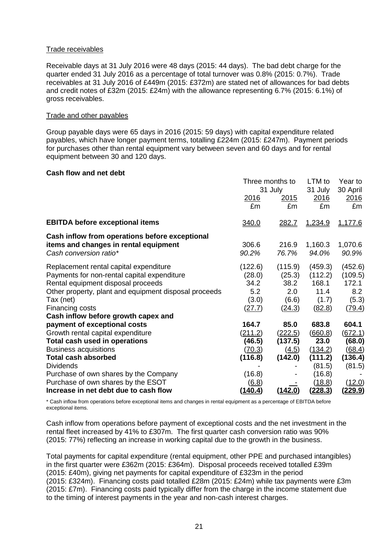#### Trade receivables

Receivable days at 31 July 2016 were 48 days (2015: 44 days). The bad debt charge for the quarter ended 31 July 2016 as a percentage of total turnover was 0.8% (2015: 0.7%). Trade receivables at 31 July 2016 of £449m (2015: £372m) are stated net of allowances for bad debts and credit notes of £32m (2015: £24m) with the allowance representing 6.7% (2015: 6.1%) of gross receivables.

#### Trade and other payables

Group payable days were 65 days in 2016 (2015: 59 days) with capital expenditure related payables, which have longer payment terms, totalling £224m (2015: £247m). Payment periods for purchases other than rental equipment vary between seven and 60 days and for rental equipment between 30 and 120 days.

#### **Cash flow and net debt**

|                                                                                                                                                                                                                      | Three months to<br>31 July                          |                                                     | LTM to<br>31 July                                      | Year to<br>30 April                                   |
|----------------------------------------------------------------------------------------------------------------------------------------------------------------------------------------------------------------------|-----------------------------------------------------|-----------------------------------------------------|--------------------------------------------------------|-------------------------------------------------------|
|                                                                                                                                                                                                                      | 2016<br>£m                                          | <u> 2015</u><br>£m                                  | 2016<br>£m                                             | 2016<br>£m                                            |
| <b>EBITDA before exceptional items</b>                                                                                                                                                                               | 340.0                                               | <u> 282.7</u>                                       | 1,234.9                                                | 1,177.6                                               |
| Cash inflow from operations before exceptional<br>items and changes in rental equipment<br>Cash conversion ratio*                                                                                                    | 306.6<br>90.2%                                      | 216.9<br>76.7%                                      | 1,160.3<br>94.0%                                       | 1,070.6<br>90.9%                                      |
| Replacement rental capital expenditure<br>Payments for non-rental capital expenditure<br>Rental equipment disposal proceeds<br>Other property, plant and equipment disposal proceeds<br>Tax (net)<br>Financing costs | (122.6)<br>(28.0)<br>34.2<br>5.2<br>(3.0)<br>(27.7) | (115.9)<br>(25.3)<br>38.2<br>2.0<br>(6.6)<br>(24.3) | (459.3)<br>(112.2)<br>168.1<br>11.4<br>(1.7)<br>(82.8) | (452.6)<br>(109.5)<br>172.1<br>8.2<br>(5.3)<br>(79.4) |
| Cash inflow before growth capex and<br>payment of exceptional costs<br>Growth rental capital expenditure                                                                                                             | 164.7<br>(211.2)                                    | 85.0<br>(222.5)                                     | 683.8<br>(660.8)                                       | 604.1<br>(672.1)                                      |
| Total cash used in operations<br><b>Business acquisitions</b><br><b>Total cash absorbed</b>                                                                                                                          | (46.5)<br>(70.3)<br>(116.8)                         | (137.5)<br>(4.5)<br>(142.0)                         | 23.0<br>(134.2)<br>(111.2)                             | (68.0)<br>(68.4)<br>(136.4)                           |
| <b>Dividends</b><br>Purchase of own shares by the Company<br>Purchase of own shares by the ESOT                                                                                                                      | (16.8)<br>(6.8)                                     |                                                     | (81.5)<br>(16.8)<br>(18.8)                             | (81.5)<br>(12.0)                                      |
| Increase in net debt due to cash flow                                                                                                                                                                                | <u>(140.4)</u>                                      | <u>(142.0)</u>                                      | <u>(228.3)</u>                                         | <u>(229.9)</u>                                        |

\* Cash inflow from operations before exceptional items and changes in rental equipment as a percentage of EBITDA before exceptional items.

Cash inflow from operations before payment of exceptional costs and the net investment in the rental fleet increased by 41% to £307m. The first quarter cash conversion ratio was 90% (2015: 77%) reflecting an increase in working capital due to the growth in the business.

Total payments for capital expenditure (rental equipment, other PPE and purchased intangibles) in the first quarter were £362m (2015: £364m). Disposal proceeds received totalled £39m (2015: £40m), giving net payments for capital expenditure of £323m in the period (2015: £324m). Financing costs paid totalled £28m (2015: £24m) while tax payments were £3m (2015: £7m). Financing costs paid typically differ from the charge in the income statement due to the timing of interest payments in the year and non-cash interest charges.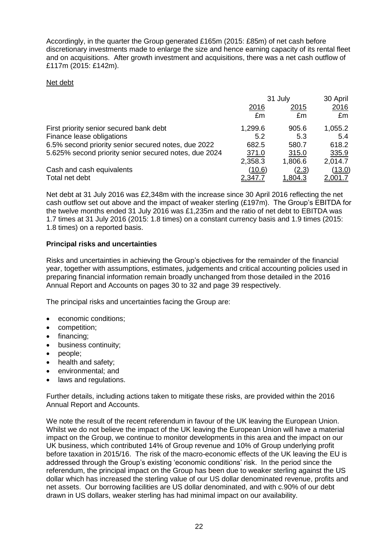Accordingly, in the quarter the Group generated £165m (2015: £85m) of net cash before discretionary investments made to enlarge the size and hence earning capacity of its rental fleet and on acquisitions. After growth investment and acquisitions, there was a net cash outflow of £117m (2015: £142m).

## Net debt

|                                                       | 31 July       |                | 30 April      |
|-------------------------------------------------------|---------------|----------------|---------------|
|                                                       | 2016          | 2015           | 2016          |
|                                                       | £m            | £m             | £m            |
| First priority senior secured bank debt               | 1,299.6       | 905.6          | 1,055.2       |
| Finance lease obligations                             | 5.2           | 5.3            | 5.4           |
| 6.5% second priority senior secured notes, due 2022   | 682.5         | 580.7          | 618.2         |
| 5.625% second priority senior secured notes, due 2024 | 371.0         | 315.0          | 335.9         |
|                                                       | 2,358.3       | 1,806.6        | 2,014.7       |
| Cash and cash equivalents                             | <u>(10.6)</u> | (2.3)          | <u>(13.0)</u> |
| Total net debt                                        | 2,347.        | <u>1,804.3</u> | 2,001.7       |

Net debt at 31 July 2016 was £2,348m with the increase since 30 April 2016 reflecting the net cash outflow set out above and the impact of weaker sterling (£197m). The Group's EBITDA for the twelve months ended 31 July 2016 was £1,235m and the ratio of net debt to EBITDA was 1.7 times at 31 July 2016 (2015: 1.8 times) on a constant currency basis and 1.9 times (2015: 1.8 times) on a reported basis.

## **Principal risks and uncertainties**

Risks and uncertainties in achieving the Group's objectives for the remainder of the financial year, together with assumptions, estimates, judgements and critical accounting policies used in preparing financial information remain broadly unchanged from those detailed in the 2016 Annual Report and Accounts on pages 30 to 32 and page 39 respectively.

The principal risks and uncertainties facing the Group are:

- economic conditions:
- competition:
- $\bullet$  financing;
- business continuity;
- people;
- health and safety:
- environmental; and
- laws and regulations.

Further details, including actions taken to mitigate these risks, are provided within the 2016 Annual Report and Accounts.

We note the result of the recent referendum in favour of the UK leaving the European Union. Whilst we do not believe the impact of the UK leaving the European Union will have a material impact on the Group, we continue to monitor developments in this area and the impact on our UK business, which contributed 14% of Group revenue and 10% of Group underlying profit before taxation in 2015/16. The risk of the macro-economic effects of the UK leaving the EU is addressed through the Group's existing 'economic conditions' risk. In the period since the referendum, the principal impact on the Group has been due to weaker sterling against the US dollar which has increased the sterling value of our US dollar denominated revenue, profits and net assets. Our borrowing facilities are US dollar denominated, and with c.90% of our debt drawn in US dollars, weaker sterling has had minimal impact on our availability.